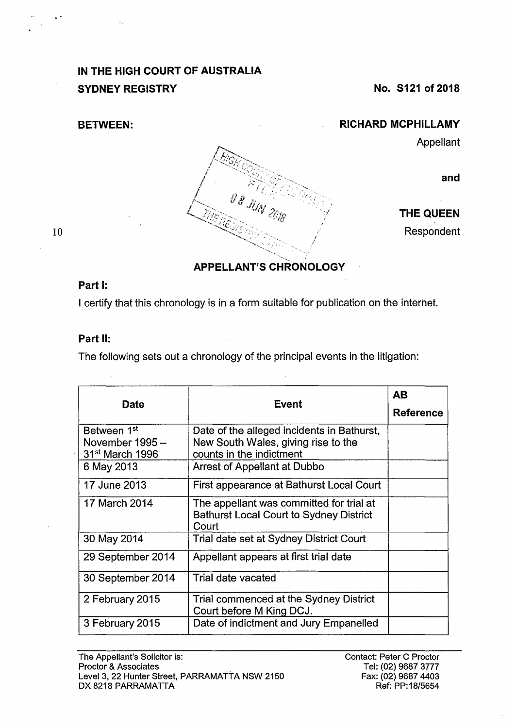# **IN THE HIGH COURT OF AUSTRALIA SYDNEY REGISTRY** No. S121 of 2018

**BETWEEN:** 

### **RICHARD MCPHILLAMY**

Appellant



**THE QUEEN** 

Respondent

#### 10

## **APPELLANT'S CHRONOLOGY**

*t*  /

### **Part 1:**

I certify that this chronology is in a form suitable for publication on the interhet.

O B JUN

### **Part 11:**

The following sets out a chronology of the principal events in the litigation:

| <b>Date</b>                                                               | <b>Event</b>                                                                                                  | <b>AB</b>        |
|---------------------------------------------------------------------------|---------------------------------------------------------------------------------------------------------------|------------------|
|                                                                           |                                                                                                               | <b>Reference</b> |
| Between 1 <sup>st</sup><br>November 1995 -<br>31 <sup>st</sup> March 1996 | Date of the alleged incidents in Bathurst,<br>New South Wales, giving rise to the<br>counts in the indictment |                  |
| 6 May 2013                                                                | Arrest of Appellant at Dubbo                                                                                  |                  |
| 17 June 2013                                                              | First appearance at Bathurst Local Court                                                                      |                  |
| 17 March 2014                                                             | The appellant was committed for trial at<br><b>Bathurst Local Court to Sydney District</b><br>Court           |                  |
| 30 May 2014                                                               | Trial date set at Sydney District Court                                                                       |                  |
| 29 September 2014                                                         | Appellant appears at first trial date                                                                         |                  |
| 30 September 2014                                                         | Trial date vacated                                                                                            |                  |
| 2 February 2015                                                           | Trial commenced at the Sydney District<br>Court before M King DCJ.                                            |                  |
| 3 February 2015                                                           | Date of indictment and Jury Empanelled                                                                        |                  |